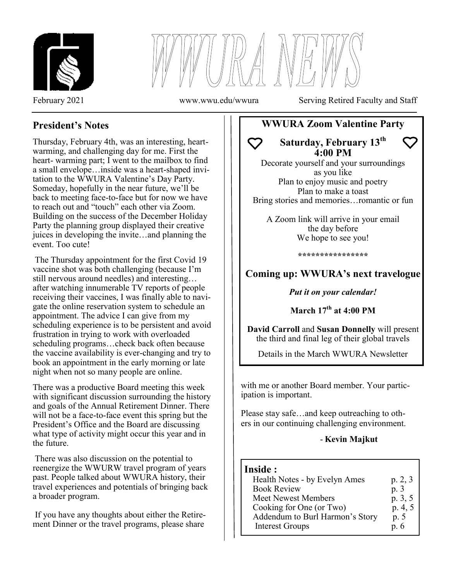



February 2021 www.wwu.edu/wwura Serving Retired Faculty and Staff

# **President's Notes**

Thursday, February 4th, was an interesting, heartwarming, and challenging day for me. First the heart- warming part; I went to the mailbox to find a small envelope…inside was a heart-shaped invitation to the WWURA Valentine's Day Party. Someday, hopefully in the near future, we'll be back to meeting face-to-face but for now we have to reach out and "touch" each other via Zoom. Building on the success of the December Holiday Party the planning group displayed their creative juices in developing the invite…and planning the event. Too cute!

The Thursday appointment for the first Covid 19 vaccine shot was both challenging (because I'm still nervous around needles) and interesting… after watching innumerable TV reports of people receiving their vaccines, I was finally able to navigate the online reservation system to schedule an appointment. The advice I can give from my scheduling experience is to be persistent and avoid frustration in trying to work with overloaded scheduling programs…check back often because the vaccine availability is ever-changing and try to book an appointment in the early morning or late night when not so many people are online.

There was a productive Board meeting this week with significant discussion surrounding the history and goals of the Annual Retirement Dinner. There will not be a face-to-face event this spring but the President's Office and the Board are discussing what type of activity might occur this year and in the future.

There was also discussion on the potential to reenergize the WWURW travel program of years past. People talked about WWURA history, their travel experiences and potentials of bringing back a broader program.

If you have any thoughts about either the Retirement Dinner or the travel programs, please share

# **WWURA Zoom Valentine Party**

**Saturday, February 13th 4:00 PM**

Decorate yourself and your surroundings as you like Plan to enjoy music and poetry Plan to make a toast Bring stories and memories…romantic or fun

A Zoom link will arrive in your email the day before We hope to see you!

**\*\*\*\*\*\*\*\*\*\*\*\*\*\*\*\***

# **Coming up: WWURA's next travelogue**

*Put it on your calendar!*

**March 17th at 4:00 PM**

**David Carroll** and **Susan Donnelly** will present the third and final leg of their global travels

Details in the March WWURA Newsletter

with me or another Board member. Your participation is important.

Please stay safe…and keep outreaching to others in our continuing challenging environment.

## - **Kevin Majkut**

## **Inside :**

 $\overline{a}$ 

| Health Notes - by Evelyn Ames   | p. 2, 3 |
|---------------------------------|---------|
| <b>Book Review</b>              | p. 3    |
| <b>Meet Newest Members</b>      | p. 3, 5 |
| Cooking for One (or Two)        | p. 4, 5 |
| Addendum to Burl Harmon's Story | p. 5    |
| <b>Interest Groups</b>          | p. 6    |
|                                 |         |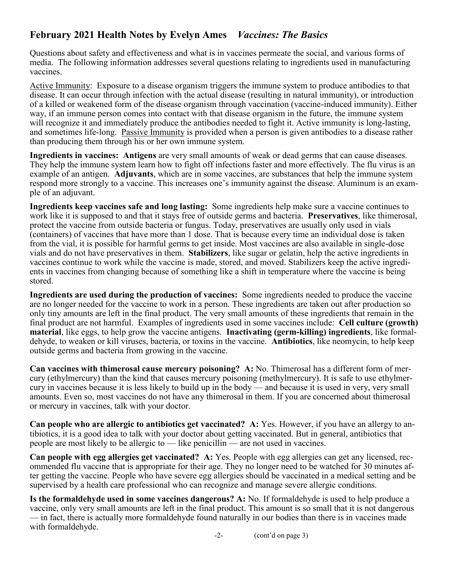# **February 2021 Health Notes by Evelyn Ames** *Vaccines: The Basics*

Questions about safety and effectiveness and what is in vaccines permeate the social, and various forms of media. The following information addresses several questions relating to ingredients used in manufacturing vaccines.

Active Immunity: Exposure to a disease organism triggers the immune system to produce antibodies to that disease. It can occur through infection with the actual disease (resulting in natural immunity), or introduction of a killed or weakened form of the disease organism through vaccination (vaccine-induced immunity). Either way, if an immune person comes into contact with that disease organism in the future, the immune system will recognize it and immediately produce the antibodies needed to fight it. Active immunity is long-lasting, and sometimes life-long. Passive Immunity is provided when a person is given antibodies to a disease rather than producing them through his or her own immune system.

**Ingredients in vaccines: Antigens** are very small amounts of weak or dead germs that can cause diseases. They help the immune system learn how to fight off infections faster and more effectively. The flu virus is an example of an antigen. **Adjuvants**, which are in some vaccines, are substances that help the immune system respond more strongly to a vaccine. This increases one's immunity against the disease. Aluminum is an example of an adjuvant.

**Ingredients keep vaccines safe and long lasting:** Some ingredients help make sure a vaccine continues to work like it is supposed to and that it stays free of outside germs and bacteria. **Preservatives**, like thimerosal, protect the vaccine from outside bacteria or fungus. Today, preservatives are usually only used in vials (containers) of vaccines that have more than 1 dose. That is because every time an individual dose is taken from the vial, it is possible for harmful germs to get inside. Most vaccines are also available in single-dose vials and do not have preservatives in them. **Stabilizers**, like sugar or gelatin, help the active ingredients in vaccines continue to work while the vaccine is made, stored, and moved. Stabilizers keep the active ingredients in vaccines from changing because of something like a shift in temperature where the vaccine is being stored.

**Ingredients are used during the production of vaccines:** Some ingredients needed to produce the vaccine are no longer needed for the vaccine to work in a person. These ingredients are taken out after production so only tiny amounts are left in the final product. The very small amounts of these ingredients that remain in the final product are not harmful.Examples of ingredients used in some vaccines include: **Cell culture (growth) material**, like eggs, to help grow the vaccine antigens. **Inactivating (germ-killing) ingredients**, like formaldehyde, to weaken or kill viruses, bacteria, or toxins in the vaccine. **Antibiotics**, like neomycin, to help keep outside germs and bacteria from growing in the vaccine.

**Can vaccines with thimerosal cause mercury poisoning? A:** No. Thimerosal has a different form of mercury (ethylmercury) than the kind that causes mercury poisoning (methylmercury). It is safe to use ethylmercury in vaccines because it is less likely to build up in the body — and because it is used in very, very small amounts. Even so, most vaccines do not have any thimerosal in them. If you are concerned about thimerosal or mercury in vaccines, talk with your doctor.

**Can people who are allergic to antibiotics get vaccinated? A:** Yes. However, if you have an allergy to antibiotics, it is a good idea to talk with your doctor about getting vaccinated. But in general, antibiotics that people are most likely to be allergic to — like penicillin — are not used in vaccines.

**Can people with egg allergies get vaccinated? A:** Yes. People with egg allergies can get any licensed, recommended flu vaccine that is appropriate for their age. They no longer need to be watched for 30 minutes after getting the vaccine. People who have severe egg allergies should be vaccinated in a medical setting and be supervised by a health care professional who can recognize and manage severe allergic conditions.

**Is the formaldehyde used in some vaccines dangerous? A:** No. If formaldehyde is used to help produce a vaccine, only very small amounts are left in the final product. This amount is so small that it is not dangerous — in fact, there is actually more formaldehyde found naturally in our bodies than there is in vaccines made with formaldehyde.

-2- (cont'd on page 3)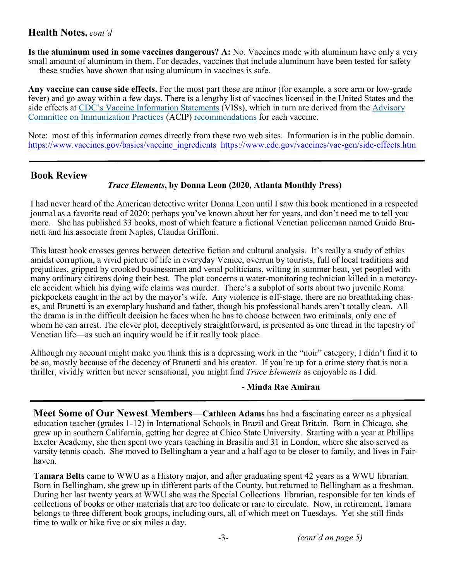## **Health Notes,** *cont'd*

**Is the aluminum used in some vaccines dangerous? A:** No. Vaccines made with aluminum have only a very small amount of aluminum in them. For decades, vaccines that include aluminum have been tested for safety — these studies have shown that using aluminum in vaccines is safe.

**Any vaccine can cause side effects.** For the most part these are minor (for example, a sore arm or low-grade fever) and go away within a few days. There is a lengthy list of vaccines licensed in the United States and the side effects at CDC'[s Vaccine Information Statements](https://www.cdc.gov/vaccines/hcp/vis/index.html) (VISs), which in turn are derived from the [Advisory](https://www.cdc.gov/vaccines/acip/index.html)  [Committee on Immunization Practices](https://www.cdc.gov/vaccines/acip/index.html) (ACIP) [recommendations](https://www.cdc.gov/vaccines/hcp/acip-recs/index.html) for each vaccine.

Note: most of this information comes directly from these two web sites. Information is in the public domain. https://www.vaccines.gov/basics/vaccine\_ingredients\_[https://www.cdc.gov/vaccines/vac](https://www.cdc.gov/vaccines/vac-gen/side-effects.htm)-gen/side-effects.htm

## **Book Review**

### *Trace Elements***, by Donna Leon (2020, Atlanta Monthly Press)**

I had never heard of the American detective writer Donna Leon until I saw this book mentioned in a respected journal as a favorite read of 2020; perhaps you've known about her for years, and don't need me to tell you more. She has published 33 books, most of which feature a fictional Venetian policeman named Guido Brunetti and his associate from Naples, Claudia Griffoni.

This latest book crosses genres between detective fiction and cultural analysis. It's really a study of ethics amidst corruption, a vivid picture of life in everyday Venice, overrun by tourists, full of local traditions and prejudices, gripped by crooked businessmen and venal politicians, wilting in summer heat, yet peopled with many ordinary citizens doing their best. The plot concerns a water-monitoring technician killed in a motorcycle accident which his dying wife claims was murder. There's a subplot of sorts about two juvenile Roma pickpockets caught in the act by the mayor's wife. Any violence is off-stage, there are no breathtaking chases, and Brunetti is an exemplary husband and father, though his professional hands aren't totally clean. All the drama is in the difficult decision he faces when he has to choose between two criminals, only one of whom he can arrest. The clever plot, deceptively straightforward, is presented as one thread in the tapestry of Venetian life—as such an inquiry would be if it really took place.

Although my account might make you think this is a depressing work in the "noir" category, I didn't find it to be so, mostly because of the decency of Brunetti and his creator. If you're up for a crime story that is not a thriller, vividly written but never sensational, you might find *Trace Elements* as enjoyable as I did*.*

#### **- Minda Rae Amiran**

**Meet Some of Our Newest Members—Cathleen Adams** has had a fascinating career as a physical education teacher (grades 1-12) in International Schools in Brazil and Great Britain. Born in Chicago, she grew up in southern California, getting her degree at Chico State University. Starting with a year at Phillips Exeter Academy, she then spent two years teaching in Brasilia and 31 in London, where she also served as varsity tennis coach. She moved to Bellingham a year and a half ago to be closer to family, and lives in Fairhaven.

**Tamara Belts** came to WWU as a History major, and after graduating spent 42 years as a WWU librarian. Born in Bellingham, she grew up in different parts of the County, but returned to Bellingham as a freshman. During her last twenty years at WWU she was the Special Collections librarian, responsible for ten kinds of collections of books or other materials that are too delicate or rare to circulate. Now, in retirement, Tamara belongs to three different book groups, including ours, all of which meet on Tuesdays. Yet she still finds time to walk or hike five or six miles a day.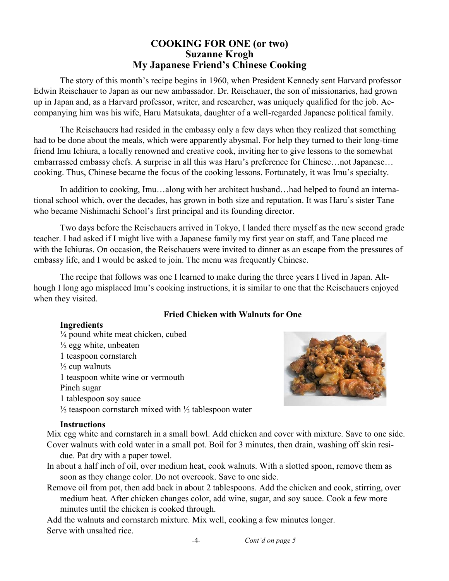## **COOKING FOR ONE (or two) Suzanne Krogh My Japanese Friend's Chinese Cooking**

The story of this month's recipe begins in 1960, when President Kennedy sent Harvard professor Edwin Reischauer to Japan as our new ambassador. Dr. Reischauer, the son of missionaries, had grown up in Japan and, as a Harvard professor, writer, and researcher, was uniquely qualified for the job. Accompanying him was his wife, Haru Matsukata, daughter of a well-regarded Japanese political family.

The Reischauers had resided in the embassy only a few days when they realized that something had to be done about the meals, which were apparently abysmal. For help they turned to their long-time friend Imu Ichiura, a locally renowned and creative cook, inviting her to give lessons to the somewhat embarrassed embassy chefs. A surprise in all this was Haru's preference for Chinese…not Japanese… cooking. Thus, Chinese became the focus of the cooking lessons. Fortunately, it was Imu's specialty.

In addition to cooking, Imu…along with her architect husband…had helped to found an international school which, over the decades, has grown in both size and reputation. It was Haru's sister Tane who became Nishimachi School's first principal and its founding director.

Two days before the Reischauers arrived in Tokyo, I landed there myself as the new second grade teacher. I had asked if I might live with a Japanese family my first year on staff, and Tane placed me with the Ichiuras. On occasion, the Reischauers were invited to dinner as an escape from the pressures of embassy life, and I would be asked to join. The menu was frequently Chinese.

The recipe that follows was one I learned to make during the three years I lived in Japan. Although I long ago misplaced Imu's cooking instructions, it is similar to one that the Reischauers enjoyed when they visited.

#### **Fried Chicken with Walnuts for One**

#### **Ingredients**

¼ pound white meat chicken, cubed  $\frac{1}{2}$  egg white, unbeaten 1 teaspoon cornstarch  $\frac{1}{2}$  cup walnuts 1 teaspoon white wine or vermouth Pinch sugar 1 tablespoon soy sauce  $\frac{1}{2}$  teaspoon cornstarch mixed with  $\frac{1}{2}$  tablespoon water



#### **Instructions**

Mix egg white and cornstarch in a small bowl. Add chicken and cover with mixture. Save to one side. Cover walnuts with cold water in a small pot. Boil for 3 minutes, then drain, washing off skin resi-

- due. Pat dry with a paper towel.
- In about a half inch of oil, over medium heat, cook walnuts. With a slotted spoon, remove them as soon as they change color. Do not overcook. Save to one side.
- Remove oil from pot, then add back in about 2 tablespoons. Add the chicken and cook, stirring, over medium heat. After chicken changes color, add wine, sugar, and soy sauce. Cook a few more minutes until the chicken is cooked through.

Add the walnuts and cornstarch mixture. Mix well, cooking a few minutes longer. Serve with unsalted rice.

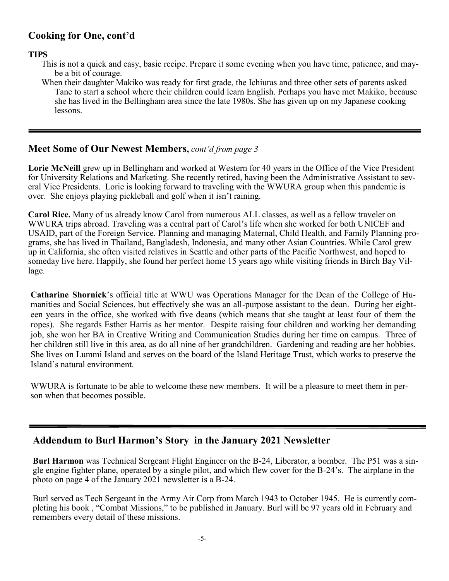# **Cooking for One, cont'd**

#### **TIPS**

- This is not a quick and easy, basic recipe. Prepare it some evening when you have time, patience, and maybe a bit of courage.
- When their daughter Makiko was ready for first grade, the Ichiuras and three other sets of parents asked Tane to start a school where their children could learn English. Perhaps you have met Makiko, because she has lived in the Bellingham area since the late 1980s. She has given up on my Japanese cooking lessons.

## **Meet Some of Our Newest Members,** *cont'd from page 3*

**Lorie McNeill** grew up in Bellingham and worked at Western for 40 years in the Office of the Vice President for University Relations and Marketing. She recently retired, having been the Administrative Assistant to several Vice Presidents. Lorie is looking forward to traveling with the WWURA group when this pandemic is over. She enjoys playing pickleball and golf when it isn't raining.

**Carol Rice.** Many of us already know Carol from numerous ALL classes, as well as a fellow traveler on WWURA trips abroad. Traveling was a central part of Carol's life when she worked for both UNICEF and USAID, part of the Foreign Service. Planning and managing Maternal, Child Health, and Family Planning programs, she has lived in Thailand, Bangladesh, Indonesia, and many other Asian Countries. While Carol grew up in California, she often visited relatives in Seattle and other parts of the Pacific Northwest, and hoped to someday live here. Happily, she found her perfect home 15 years ago while visiting friends in Birch Bay Village.

**Catharine Shornick**'s official title at WWU was Operations Manager for the Dean of the College of Humanities and Social Sciences, but effectively she was an all-purpose assistant to the dean. During her eighteen years in the office, she worked with five deans (which means that she taught at least four of them the ropes). She regards Esther Harris as her mentor. Despite raising four children and working her demanding job, she won her BA in Creative Writing and Communication Studies during her time on campus. Three of her children still live in this area, as do all nine of her grandchildren. Gardening and reading are her hobbies. She lives on Lummi Island and serves on the board of the Island Heritage Trust, which works to preserve the Island's natural environment.

WWURA is fortunate to be able to welcome these new members. It will be a pleasure to meet them in person when that becomes possible.

## **Addendum to Burl Harmon's Story in the January 2021 Newsletter**

**Burl Harmon** was Technical Sergeant Flight Engineer on the B-24, Liberator, a bomber. The P51 was a single engine fighter plane, operated by a single pilot, and which flew cover for the B-24's. The airplane in the photo on page 4 of the January 2021 newsletter is a B-24.

Burl served as Tech Sergeant in the Army Air Corp from March 1943 to October 1945. He is currently completing his book , "Combat Missions," to be published in January. Burl will be 97 years old in February and remembers every detail of these missions.